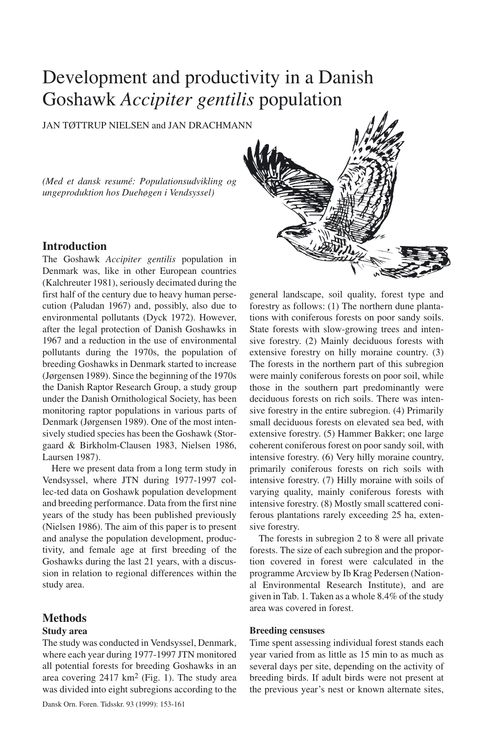# Development and productivity in a Danish Goshawk *Accipiter gentilis* population

JAN TØTTRUP NIELSEN and JAN DRACHMANN

*(Med et dansk resumé: Populationsudvikling og ungeproduktion hos Duehøgen i Vendsyssel)*

# **Introduction**

The Goshawk *Accipiter gentilis* population in Denmark was, like in other European countries (Kalchreuter 1981), seriously decimated during the first half of the century due to heavy human persecution (Paludan 1967) and, possibly, also due to environmental pollutants (Dyck 1972). However, after the legal protection of Danish Goshawks in 1967 and a reduction in the use of environmental pollutants during the 1970s, the population of breeding Goshawks in Denmark started to increase (Jørgensen 1989). Since the beginning of the 1970s the Danish Raptor Research Group, a study group under the Danish Ornithological Society, has been monitoring raptor populations in various parts of Denmark (Jørgensen 1989). One of the most intensively studied species has been the Goshawk (Storgaard & Birkholm-Clausen 1983, Nielsen 1986, Laursen 1987).

Here we present data from a long term study in Vendsyssel, where JTN during 1977-1997 collec-ted data on Goshawk population development and breeding performance. Data from the first nine years of the study has been published previously (Nielsen 1986). The aim of this paper is to present and analyse the population development, productivity, and female age at first breeding of the Goshawks during the last 21 years, with a discussion in relation to regional differences within the study area.

## **Methods**

#### **Study area**

The study was conducted in Vendsyssel, Denmark, where each year during 1977-1997 JTN monitored all potential forests for breeding Goshawks in an area covering  $2417 \text{ km}^2$  (Fig. 1). The study area was divided into eight subregions according to the



forestry as follows: (1) The northern dune plantations with coniferous forests on poor sandy soils. State forests with slow-growing trees and intensive forestry. (2) Mainly deciduous forests with extensive forestry on hilly moraine country. (3) The forests in the northern part of this subregion were mainly coniferous forests on poor soil, while those in the southern part predominantly were deciduous forests on rich soils. There was intensive forestry in the entire subregion. (4) Primarily small deciduous forests on elevated sea bed, with extensive forestry. (5) Hammer Bakker; one large coherent coniferous forest on poor sandy soil, with intensive forestry. (6) Very hilly moraine country, primarily coniferous forests on rich soils with intensive forestry. (7) Hilly moraine with soils of varying quality, mainly coniferous forests with intensive forestry. (8) Mostly small scattered coniferous plantations rarely exceeding 25 ha, extensive forestry.

The forests in subregion 2 to 8 were all private forests. The size of each subregion and the proportion covered in forest were calculated in the programme Arcview by Ib Krag Pedersen (National Environmental Research Institute), and are given in Tab. 1. Taken as a whole 8.4% of the study area was covered in forest.

## **Breeding censuses**

Time spent assessing individual forest stands each year varied from as little as 15 min to as much as several days per site, depending on the activity of breeding birds. If adult birds were not present at the previous year's nest or known alternate sites,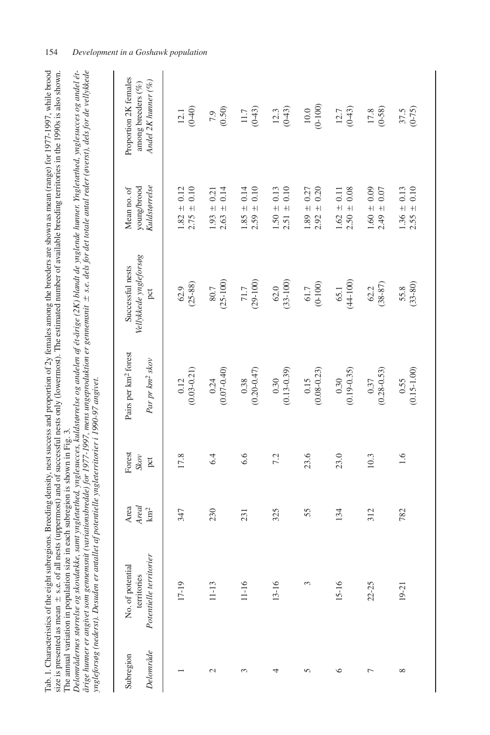| or 1977-1997. while brood                 | also shown.                               |                              |                                                                                                                                                                                                                                |
|-------------------------------------------|-------------------------------------------|------------------------------|--------------------------------------------------------------------------------------------------------------------------------------------------------------------------------------------------------------------------------|
|                                           |                                           |                              |                                                                                                                                                                                                                                |
|                                           |                                           |                              |                                                                                                                                                                                                                                |
|                                           |                                           |                              |                                                                                                                                                                                                                                |
|                                           |                                           |                              |                                                                                                                                                                                                                                |
|                                           |                                           |                              |                                                                                                                                                                                                                                |
|                                           | $\ldots$ es in the 1990s $\ldots$         |                              |                                                                                                                                                                                                                                |
|                                           |                                           |                              |                                                                                                                                                                                                                                |
|                                           |                                           |                              |                                                                                                                                                                                                                                |
|                                           | ing term                                  |                              |                                                                                                                                                                                                                                |
|                                           |                                           |                              |                                                                                                                                                                                                                                |
|                                           |                                           |                              |                                                                                                                                                                                                                                |
|                                           |                                           |                              |                                                                                                                                                                                                                                |
|                                           |                                           |                              |                                                                                                                                                                                                                                |
|                                           |                                           |                              |                                                                                                                                                                                                                                |
|                                           |                                           |                              |                                                                                                                                                                                                                                |
| ig the breeders are shown as mean (range) |                                           |                              |                                                                                                                                                                                                                                |
|                                           |                                           |                              |                                                                                                                                                                                                                                |
|                                           |                                           |                              |                                                                                                                                                                                                                                |
| aillUli,                                  |                                           |                              |                                                                                                                                                                                                                                |
|                                           | ne estimated number of available breedin. |                              |                                                                                                                                                                                                                                |
|                                           |                                           |                              |                                                                                                                                                                                                                                |
| $\alpha$ of 2y females a                  |                                           |                              | at the second contract of the second contract of the second contract of the contract of the contract contract of the second contract of the second contract of the second contract of the second contract of the second contra |
|                                           |                                           |                              |                                                                                                                                                                                                                                |
|                                           |                                           |                              |                                                                                                                                                                                                                                |
|                                           |                                           |                              |                                                                                                                                                                                                                                |
|                                           | and of successful nests only              |                              |                                                                                                                                                                                                                                |
| st success and                            |                                           |                              |                                                                                                                                                                                                                                |
|                                           |                                           | $\frac{1}{4}$<br>¢           |                                                                                                                                                                                                                                |
|                                           |                                           |                              |                                                                                                                                                                                                                                |
|                                           |                                           |                              |                                                                                                                                                                                                                                |
|                                           |                                           |                              |                                                                                                                                                                                                                                |
|                                           |                                           |                              |                                                                                                                                                                                                                                |
|                                           |                                           |                              |                                                                                                                                                                                                                                |
|                                           |                                           |                              |                                                                                                                                                                                                                                |
| - surfregions. Breeding density, nos-     |                                           | in each subregion is shown i |                                                                                                                                                                                                                                |
|                                           |                                           |                              |                                                                                                                                                                                                                                |
|                                           |                                           |                              |                                                                                                                                                                                                                                |
|                                           |                                           |                              |                                                                                                                                                                                                                                |
|                                           |                                           | i                            |                                                                                                                                                                                                                                |
|                                           |                                           |                              |                                                                                                                                                                                                                                |
|                                           |                                           |                              |                                                                                                                                                                                                                                |
| i                                         |                                           | Í                            |                                                                                                                                                                                                                                |
| Ĭ                                         |                                           | i                            |                                                                                                                                                                                                                                |
| i                                         |                                           |                              |                                                                                                                                                                                                                                |
|                                           |                                           |                              |                                                                                                                                                                                                                                |
|                                           |                                           |                              |                                                                                                                                                                                                                                |
|                                           |                                           |                              | j                                                                                                                                                                                                                              |

|                        | Tab. 1. Characteristics of the eight subregions. Breeding density, nest success and proportion of 2y females among the breeders are shown as mean (range) for 1977-1997, while brood<br>årige hunner er angivet som gennemsnit (variationsbredde) for 1977-1997, mens ungeproduktion er gennemsnit ± s.e. dels for det totale antal reder (øverst), dels for de vellykkede<br>Delområdernes størrelse og skovdække, samt yngletæthed, ynglesucces, kuldstørrelse og andelen af ér-årige (2K) blandt de ynglende hunner. Yngletæthed, ynglesucces og andel ét-<br>size is presented as mean ± s.e. of all nests (uppermost) and of successful nests only (lowermost). The estimated number of available breeding territories in the 1990s is also shown.<br>The annual variation in population size in each subregion is shown in Fig. 3.<br>yngleforsøg (nederst). Desuden er antal |                                  |                       | let af potentielle yngleterritorier i 1990-97 angivet.          |                                                   |                                              |                                                                    |
|------------------------|-------------------------------------------------------------------------------------------------------------------------------------------------------------------------------------------------------------------------------------------------------------------------------------------------------------------------------------------------------------------------------------------------------------------------------------------------------------------------------------------------------------------------------------------------------------------------------------------------------------------------------------------------------------------------------------------------------------------------------------------------------------------------------------------------------------------------------------------------------------------------------------|----------------------------------|-----------------------|-----------------------------------------------------------------|---------------------------------------------------|----------------------------------------------|--------------------------------------------------------------------|
| Delonråde<br>Subregion | Potentielle territorier<br>No. of potential<br>territories                                                                                                                                                                                                                                                                                                                                                                                                                                                                                                                                                                                                                                                                                                                                                                                                                          | Areal<br>Area<br>km <sup>2</sup> | Forest<br>Skov<br>pct | Pairs per km <sup>2</sup> forest<br>Par pr km <sup>2</sup> skov | Vellykkede yngleforsøg<br>Successful nests<br>pct | Kuldstørrelse<br>young/brood<br>Mean no. of  | Proportion 2K females<br>Andel 2K hunner (%)<br>among breeders (%) |
|                        | 17-19                                                                                                                                                                                                                                                                                                                                                                                                                                                                                                                                                                                                                                                                                                                                                                                                                                                                               | 347                              | 17.8                  | $(0.03 - 0.21)$<br>0.12                                         | $(25 - 88)$<br>62.9                               | ± 0.10<br>± 0.12<br>1.82<br>2.75             | $(0 - 40)$<br>12.1                                                 |
| $\mathcal{L}$          | $11 - 13$                                                                                                                                                                                                                                                                                                                                                                                                                                                                                                                                                                                                                                                                                                                                                                                                                                                                           | 230                              | 6.4                   | $(0.07 - 0.40)$<br>0.24                                         | $(25-100)$<br>80.7                                | 0.14<br>± 0.21<br>$\ddot{+}$<br>1.93<br>2.63 | (0.50)<br>7.9                                                      |
| 3                      | 11-16                                                                                                                                                                                                                                                                                                                                                                                                                                                                                                                                                                                                                                                                                                                                                                                                                                                                               | 231                              | 6.6                   | $(0.20 - 0.47)$<br>0.38                                         | $(29-100)$<br>$71.7$                              | ± 0.14<br>0.10<br>$+$<br>1.85<br>2.59        | $(0 - 43)$<br>11.7                                                 |
| 4                      | 13-16                                                                                                                                                                                                                                                                                                                                                                                                                                                                                                                                                                                                                                                                                                                                                                                                                                                                               | 325                              | 7.2                   | $(0.13 - 0.39)$<br>0.30                                         | $(33-100)$<br>62.0                                | $1.50\,\pm\,0.13$<br>0.10<br>$+1$<br>2.51    | $(0 - 43)$<br>12.3                                                 |
| 5                      | 3                                                                                                                                                                                                                                                                                                                                                                                                                                                                                                                                                                                                                                                                                                                                                                                                                                                                                   | 55                               | 23.6                  | $(0.08 - 0.23)$<br>0.15                                         | $(0-100)$<br>61.7                                 | 0.20<br>± 0.27<br>$+1$<br>1.89<br>2.92       | $(0-100)$<br>$10.0$                                                |
| ७                      | 15-16                                                                                                                                                                                                                                                                                                                                                                                                                                                                                                                                                                                                                                                                                                                                                                                                                                                                               | 134                              | 23.0                  | $(0.19 - 0.35)$<br>0.30                                         | $(44-100)$<br>65.1                                | 0.08<br>± 0.11<br>$+$<br>1.62<br>2.50        | $(0 - 43)$<br>12.7                                                 |
| 冖                      | $22 - 25$                                                                                                                                                                                                                                                                                                                                                                                                                                                                                                                                                                                                                                                                                                                                                                                                                                                                           | 312                              | 10.3                  | $(0.28 - 0.53)$<br>0.37                                         | $(38 - 87)$<br>62.2                               | $1.60 \pm 0.09$<br>0.07<br>$+1$<br>2.49      | $(0 - 58)$<br>17.8                                                 |
| $\infty$               | $19 - 21$                                                                                                                                                                                                                                                                                                                                                                                                                                                                                                                                                                                                                                                                                                                                                                                                                                                                           | 782                              | 1.6                   | $(0.15 - 1.00)$<br>0.55                                         | $(33 - 80)$<br>55.8                               | 0.10<br>$1.36 \pm 0.13$<br>$+$<br>2.55       | $(0 - 75)$<br>37.5                                                 |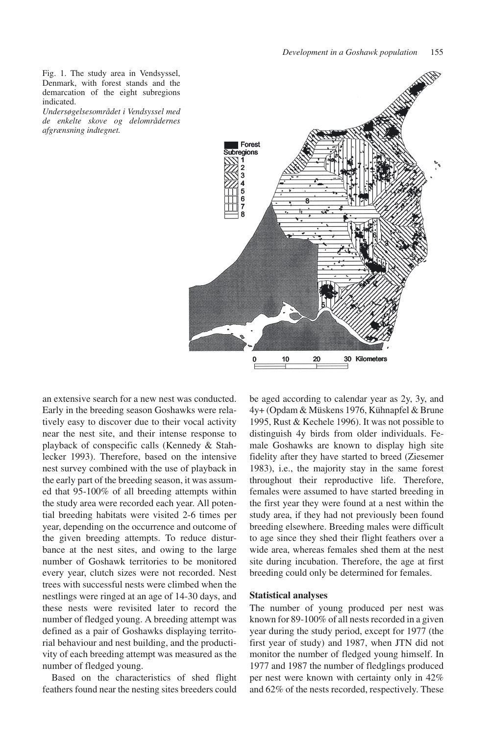Fig. 1. The study area in Vendsyssel, Denmark, with forest stands and the demarcation of the eight subregions indicated.

*Undersøgelsesområdet i Vendsyssel med de enkelte skove og delområdernes afgrænsning indtegnet.*



an extensive search for a new nest was conducted. Early in the breeding season Goshawks were relatively easy to discover due to their vocal activity near the nest site, and their intense response to playback of conspecific calls (Kennedy & Stahlecker 1993). Therefore, based on the intensive nest survey combined with the use of playback in the early part of the breeding season, it was assumed that 95-100% of all breeding attempts within the study area were recorded each year. All potential breeding habitats were visited 2-6 times per year, depending on the occurrence and outcome of the given breeding attempts. To reduce disturbance at the nest sites, and owing to the large number of Goshawk territories to be monitored every year, clutch sizes were not recorded. Nest trees with successful nests were climbed when the nestlings were ringed at an age of 14-30 days, and these nests were revisited later to record the number of fledged young. A breeding attempt was defined as a pair of Goshawks displaying territorial behaviour and nest building, and the productivity of each breeding attempt was measured as the number of fledged young.

Based on the characteristics of shed flight feathers found near the nesting sites breeders could be aged according to calendar year as 2y, 3y, and 4y+ (Opdam & Müskens 1976, Kühnapfel & Brune 1995, Rust & Kechele 1996). It was not possible to distinguish 4y birds from older individuals. Female Goshawks are known to display high site fidelity after they have started to breed (Ziesemer 1983), i.e., the majority stay in the same forest throughout their reproductive life. Therefore, females were assumed to have started breeding in the first year they were found at a nest within the study area, if they had not previously been found breeding elsewhere. Breeding males were difficult to age since they shed their flight feathers over a wide area, whereas females shed them at the nest site during incubation. Therefore, the age at first breeding could only be determined for females.

### **Statistical analyses**

The number of young produced per nest was known for 89-100% of all nests recorded in a given year during the study period, except for 1977 (the first year of study) and 1987, when JTN did not monitor the number of fledged young himself. In 1977 and 1987 the number of fledglings produced per nest were known with certainty only in 42% and 62% of the nests recorded, respectively. These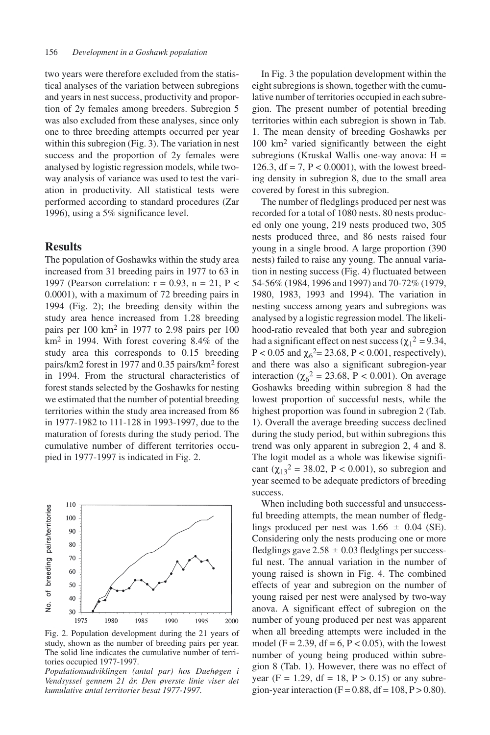two years were therefore excluded from the statistical analyses of the variation between subregions and years in nest success, productivity and proportion of 2y females among breeders. Subregion 5 was also excluded from these analyses, since only one to three breeding attempts occurred per year within this subregion (Fig. 3). The variation in nest success and the proportion of 2y females were analysed by logistic regression models, while twoway analysis of variance was used to test the variation in productivity. All statistical tests were performed according to standard procedures (Zar 1996), using a 5% significance level.

## **Results**

The population of Goshawks within the study area increased from 31 breeding pairs in 1977 to 63 in 1997 (Pearson correlation:  $r = 0.93$ ,  $n = 21$ ,  $P <$ 0.0001), with a maximum of 72 breeding pairs in 1994 (Fig. 2); the breeding density within the study area hence increased from 1.28 breeding pairs per 100 km2 in 1977 to 2.98 pairs per 100 km2 in 1994. With forest covering 8.4% of the study area this corresponds to 0.15 breeding pairs/km2 forest in 1977 and 0.35 pairs/km2 forest in 1994. From the structural characteristics of forest stands selected by the Goshawks for nesting we estimated that the number of potential breeding territories within the study area increased from 86 in 1977-1982 to 111-128 in 1993-1997, due to the maturation of forests during the study period. The cumulative number of different territories occupied in 1977-1997 is indicated in Fig. 2.



Fig. 2. Population development during the 21 years of study, shown as the number of breeding pairs per year. The solid line indicates the cumulative number of territories occupied 1977-1997.

*Populationsudviklingen (antal par) hos Duehøgen i Vendsyssel gennem 21 år. Den øverste linie viser det kumulative antal territorier besat 1977-1997.*

In Fig. 3 the population development within the eight subregions is shown, together with the cumulative number of territories occupied in each subregion. The present number of potential breeding territories within each subregion is shown in Tab. 1. The mean density of breeding Goshawks per 100 km2 varied significantly between the eight subregions (Kruskal Wallis one-way anova: H = 126.3, df = 7, P < 0.0001), with the lowest breeding density in subregion 8, due to the small area covered by forest in this subregion.

The number of fledglings produced per nest was recorded for a total of 1080 nests. 80 nests produced only one young, 219 nests produced two, 305 nests produced three, and 86 nests raised four young in a single brood. A large proportion (390 nests) failed to raise any young. The annual variation in nesting success (Fig. 4) fluctuated between 54-56% (1984, 1996 and 1997) and 70-72% (1979, 1980, 1983, 1993 and 1994). The variation in nesting success among years and subregions was analysed by a logistic regression model. The likelihood-ratio revealed that both year and subregion had a significant effect on nest success ( $\chi_1^2 = 9.34$ , P < 0.05 and  $\chi_6^2$  = 23.68, P < 0.001, respectively), and there was also a significant subregion-year interaction ( $\chi_6^2 = 23.68$ , P < 0.001). On average Goshawks breeding within subregion 8 had the lowest proportion of successful nests, while the highest proportion was found in subregion 2 (Tab. 1). Overall the average breeding success declined during the study period, but within subregions this trend was only apparent in subregion 2, 4 and 8. The logit model as a whole was likewise significant ( $\chi_{13}^2$  = 38.02, P < 0.001), so subregion and year seemed to be adequate predictors of breeding success.

When including both successful and unsuccessful breeding attempts, the mean number of fledglings produced per nest was  $1.66 \pm 0.04$  (SE). Considering only the nests producing one or more fledglings gave  $2.58 \pm 0.03$  fledglings per successful nest. The annual variation in the number of young raised is shown in Fig. 4. The combined effects of year and subregion on the number of young raised per nest were analysed by two-way anova. A significant effect of subregion on the number of young produced per nest was apparent when all breeding attempts were included in the model (F = 2.39, df = 6, P < 0.05), with the lowest number of young being produced within subregion 8 (Tab. 1). However, there was no effect of year (F = 1.29, df = 18, P > 0.15) or any subregion-year interaction ( $F = 0.88$ , df = 108, P > 0.80).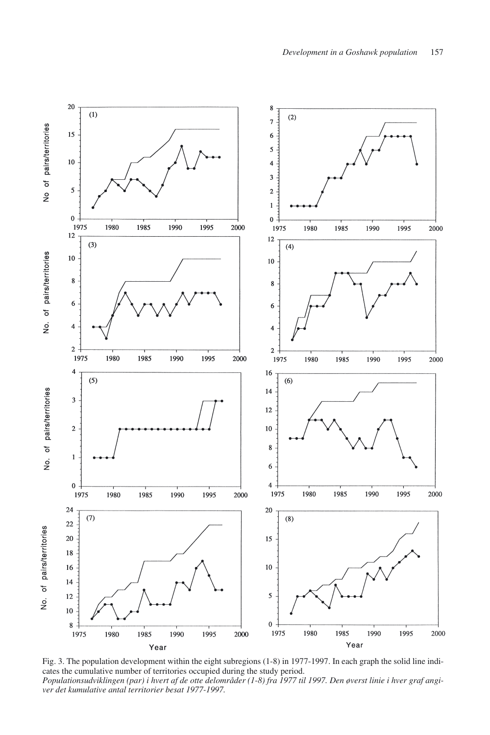

Fig. 3. The population development within the eight subregions (1-8) in 1977-1997. In each graph the solid line indicates the cumulative number of territories occupied during the study period. *Populationsudviklingen (par) i hvert af de otte delområder (1-8) fra 1977 til 1997. Den øverst linie i hver graf angiver det kumulative antal territorier besat 1977-1997.*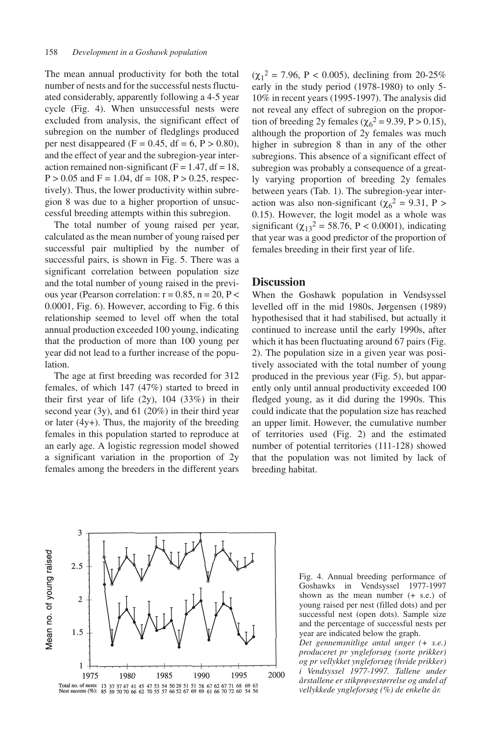The mean annual productivity for both the total number of nests and for the successful nests fluctuated considerably, apparently following a 4-5 year cycle (Fig. 4). When unsuccessful nests were excluded from analysis, the significant effect of subregion on the number of fledglings produced per nest disappeared (F =  $0.45$ , df =  $6$ , P >  $0.80$ ), and the effect of year and the subregion-year interaction remained non-significant ( $F = 1.47$ , df = 18,  $P > 0.05$  and  $F = 1.04$ , df = 108,  $P > 0.25$ , respectively). Thus, the lower productivity within subregion 8 was due to a higher proportion of unsuccessful breeding attempts within this subregion.

The total number of young raised per year, calculated as the mean number of young raised per successful pair multiplied by the number of successful pairs, is shown in Fig. 5. There was a significant correlation between population size and the total number of young raised in the previous year (Pearson correlation:  $r = 0.85$ ,  $n = 20$ ,  $P <$ 0.0001, Fig. 6). However, according to Fig. 6 this relationship seemed to level off when the total annual production exceeded 100 young, indicating that the production of more than 100 young per year did not lead to a further increase of the population.

The age at first breeding was recorded for 312 females, of which 147 (47%) started to breed in their first year of life (2y), 104 (33%) in their second year (3y), and 61 (20%) in their third year or later (4y+). Thus, the majority of the breeding females in this population started to reproduce at an early age. A logistic regression model showed a significant variation in the proportion of 2y females among the breeders in the different years

 $(\chi_1^2 = 7.96, P < 0.005)$ , declining from 20-25% early in the study period (1978-1980) to only 5- 10% in recent years (1995-1997). The analysis did not reveal any effect of subregion on the proportion of breeding 2y females ( $\chi_6^2$  = 9.39, P > 0.15), although the proportion of 2y females was much higher in subregion 8 than in any of the other subregions. This absence of a significant effect of subregion was probably a consequence of a greatly varying proportion of breeding 2y females between years (Tab. 1). The subregion-year interaction was also non-significant ( $\chi_6^2 = 9.31$ , P > 0.15). However, the logit model as a whole was significant ( $\chi_{13}^2$  = 58.76, P < 0.0001), indicating that year was a good predictor of the proportion of females breeding in their first year of life.

## **Discussion**

When the Goshawk population in Vendsyssel levelled off in the mid 1980s, Jørgensen (1989) hypothesised that it had stabilised, but actually it continued to increase until the early 1990s, after which it has been fluctuating around 67 pairs (Fig. 2). The population size in a given year was positively associated with the total number of young produced in the previous year (Fig. 5), but apparently only until annual productivity exceeded 100 fledged young, as it did during the 1990s. This could indicate that the population size has reached an upper limit. However, the cumulative number of territories used (Fig. 2) and the estimated number of potential territories (111-128) showed that the population was not limited by lack of breeding habitat.



Fig. 4. Annual breeding performance of Goshawks in Vendsyssel 1977-1997 shown as the mean number (+ s.e.) of young raised per nest (filled dots) and per successful nest (open dots). Sample size and the percentage of successful nests per year are indicated below the graph.

*Det gennemsnitlige antal unger (+ s.e.) produceret pr yngleforsøg (sorte prikker) og pr vellykket yngleforsøg (hvide prikker) i Vendsyssel 1977-1997. Tallene under årstallene er stikprøvestørrelse og andel af vellykkede yngleforsøg (%) de enkelte år.*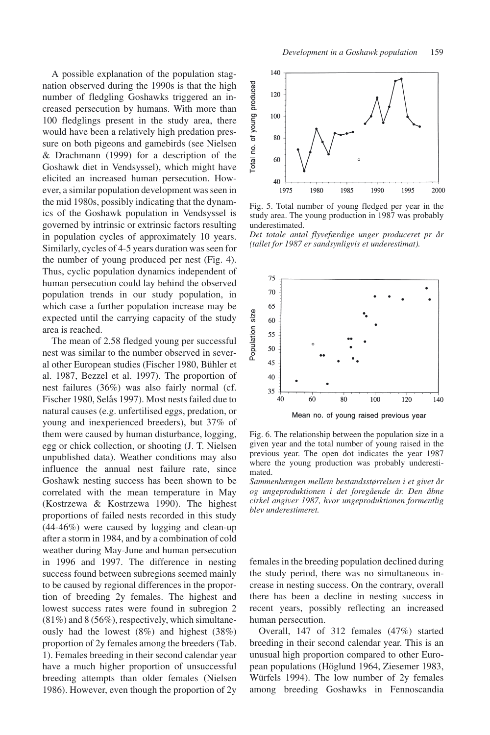A possible explanation of the population stagnation observed during the 1990s is that the high number of fledgling Goshawks triggered an increased persecution by humans. With more than 100 fledglings present in the study area, there would have been a relatively high predation pressure on both pigeons and gamebirds (see Nielsen & Drachmann (1999) for a description of the Goshawk diet in Vendsyssel), which might have elicited an increased human persecution. However, a similar population development was seen in the mid 1980s, possibly indicating that the dynamics of the Goshawk population in Vendsyssel is governed by intrinsic or extrinsic factors resulting in population cycles of approximately 10 years. Similarly, cycles of 4-5 years duration was seen for the number of young produced per nest (Fig. 4). Thus, cyclic population dynamics independent of human persecution could lay behind the observed population trends in our study population, in which case a further population increase may be expected until the carrying capacity of the study area is reached.

The mean of 2.58 fledged young per successful nest was similar to the number observed in several other European studies (Fischer 1980, Bühler et al. 1987, Bezzel et al. 1997). The proportion of nest failures (36%) was also fairly normal (cf. Fischer 1980, Selås 1997). Most nests failed due to natural causes (e.g. unfertilised eggs, predation, or young and inexperienced breeders), but 37% of them were caused by human disturbance, logging, egg or chick collection, or shooting (J. T. Nielsen unpublished data). Weather conditions may also influence the annual nest failure rate, since Goshawk nesting success has been shown to be correlated with the mean temperature in May (Kostrzewa & Kostrzewa 1990). The highest proportions of failed nests recorded in this study (44-46%) were caused by logging and clean-up after a storm in 1984, and by a combination of cold weather during May-June and human persecution in 1996 and 1997. The difference in nesting success found between subregions seemed mainly to be caused by regional differences in the proportion of breeding 2y females. The highest and lowest success rates were found in subregion 2  $(81\%)$  and  $8(56\%)$ , respectively, which simultaneously had the lowest (8%) and highest (38%) proportion of 2y females among the breeders (Tab. 1). Females breeding in their second calendar year have a much higher proportion of unsuccessful breeding attempts than older females (Nielsen 1986). However, even though the proportion of 2y



Fig. 5. Total number of young fledged per year in the study area. The young production in 1987 was probably underestimated.

*Det totale antal flyvefærdige unger produceret pr år (tallet for 1987 er sandsynligvis et underestimat).*



Fig. 6. The relationship between the population size in a given year and the total number of young raised in the previous year. The open dot indicates the year 1987 where the young production was probably underestimated.

*Sammenhængen mellem bestandsstørrelsen i et givet år og ungeproduktionen i det foregående år. Den åbne cirkel angiver 1987, hvor ungeproduktionen formentlig blev underestimeret.*

females in the breeding population declined during the study period, there was no simultaneous increase in nesting success. On the contrary, overall there has been a decline in nesting success in recent years, possibly reflecting an increased human persecution.

Overall, 147 of 312 females (47%) started breeding in their second calendar year. This is an unusual high proportion compared to other European populations (Höglund 1964, Ziesemer 1983, Würfels 1994). The low number of 2y females among breeding Goshawks in Fennoscandia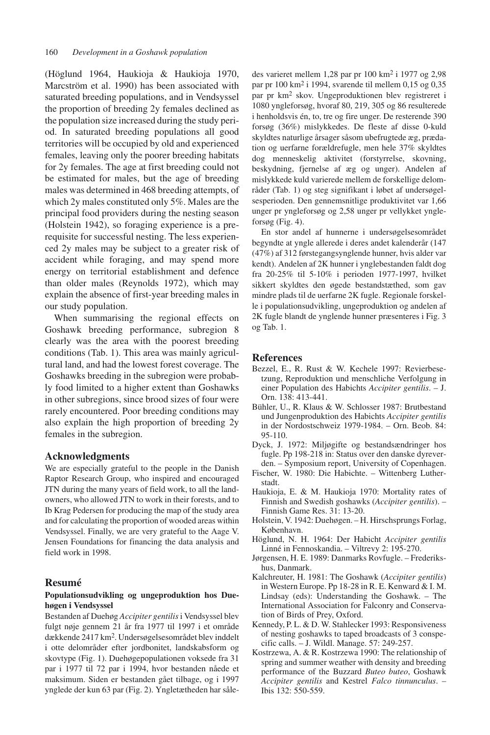(Höglund 1964, Haukioja & Haukioja 1970, Marcström et al. 1990) has been associated with saturated breeding populations, and in Vendsyssel the proportion of breeding 2y females declined as the population size increased during the study period. In saturated breeding populations all good territories will be occupied by old and experienced females, leaving only the poorer breeding habitats for 2y females. The age at first breeding could not be estimated for males, but the age of breeding males was determined in 468 breeding attempts, of which 2y males constituted only 5%. Males are the principal food providers during the nesting season (Holstein 1942), so foraging experience is a prerequisite for successful nesting. The less experienced 2y males may be subject to a greater risk of accident while foraging, and may spend more energy on territorial establishment and defence than older males (Reynolds 1972), which may explain the absence of first-year breeding males in our study population.

When summarising the regional effects on Goshawk breeding performance, subregion 8 clearly was the area with the poorest breeding conditions (Tab. 1). This area was mainly agricultural land, and had the lowest forest coverage. The Goshawks breeding in the subregion were probably food limited to a higher extent than Goshawks in other subregions, since brood sizes of four were rarely encountered. Poor breeding conditions may also explain the high proportion of breeding 2y females in the subregion.

#### **Acknowledgments**

We are especially grateful to the people in the Danish Raptor Research Group, who inspired and encouraged JTN during the many years of field work, to all the landowners, who allowed JTN to work in their forests, and to Ib Krag Pedersen for producing the map of the study area and for calculating the proportion of wooded areas within Vendsyssel. Finally, we are very grateful to the Aage V. Jensen Foundations for financing the data analysis and field work in 1998.

### **Resumé**

#### **Populationsudvikling og ungeproduktion hos Duehøgen i Vendsyssel**

Bestanden af Duehøg *Accipiter gentilis*i Vendsyssel blev fulgt nøje gennem 21 år fra 1977 til 1997 i et område dækkende 2417 km2. Undersøgelsesområdet blev inddelt i otte delområder efter jordbonitet, landskabsform og skovtype (Fig. 1). Duehøgepopulationen voksede fra 31 par i 1977 til 72 par i 1994, hvor bestanden nåede et maksimum. Siden er bestanden gået tilbage, og i 1997 ynglede der kun 63 par (Fig. 2). Yngletætheden har således varieret mellem 1,28 par pr 100 km2 i 1977 og 2,98 par pr 100 km2 i 1994, svarende til mellem 0,15 og 0,35 par pr km2 skov. Ungeproduktionen blev registreret i 1080 yngleforsøg, hvoraf 80, 219, 305 og 86 resulterede i henholdsvis én, to, tre og fire unger. De resterende 390 forsøg (36%) mislykkedes. De fleste af disse 0-kuld skyldtes naturlige årsager såsom ubefrugtede æg, prædation og uerfarne forældrefugle, men hele 37% skyldtes dog menneskelig aktivitet (forstyrrelse, skovning, beskydning, fjernelse af æg og unger). Andelen af mislykkede kuld varierede mellem de forskellige delområder (Tab. 1) og steg signifikant i løbet af undersøgelsesperioden. Den gennemsnitlige produktivitet var 1,66 unger pr yngleforsøg og 2,58 unger pr vellykket yngleforsøg (Fig. 4).

En stor andel af hunnerne i undersøgelsesområdet begyndte at yngle allerede i deres andet kalenderår (147 (47%) af 312 førstegangsynglende hunner, hvis alder var kendt). Andelen af 2K hunner i ynglebestanden faldt dog fra 20-25% til 5-10% i perioden 1977-1997, hvilket sikkert skyldtes den øgede bestandstæthed, som gav mindre plads til de uerfarne 2K fugle. Regionale forskelle i populationsudvikling, ungeproduktion og andelen af 2K fugle blandt de ynglende hunner præsenteres i Fig. 3 og Tab. 1.

## **References**

- Bezzel, E., R. Rust & W. Kechele 1997: Revierbesetzung, Reproduktion und menschliche Verfolgung in einer Population des Habichts *Accipiter gentilis*. – J. Orn. 138: 413-441.
- Bühler, U., R. Klaus & W. Schlosser 1987: Brutbestand und Jungenproduktion des Habichts *Accipiter gentilis* in der Nordostschweiz 1979-1984. – Orn. Beob. 84: 95-110.
- Dyck, J. 1972: Miljøgifte og bestandsændringer hos fugle. Pp 198-218 in: Status over den danske dyreverden. – Symposium report, University of Copenhagen.
- Fischer, W. 1980: Die Habichte. Wittenberg Lutherstadt.
- Haukioja, E. & M. Haukioja 1970: Mortality rates of Finnish and Swedish goshawks (*Accipiter gentilis*). – Finnish Game Res. 31: 13-20.
- Holstein, V. 1942: Duehøgen. H. Hirschsprungs Forlag, København.
- Höglund, N. H. 1964: Der Habicht *Accipiter gentilis* Linné in Fennoskandia. – Viltrevy 2: 195-270.
- Jørgensen, H. E. 1989: Danmarks Rovfugle. Frederikshus, Danmark.
- Kalchreuter, H. 1981: The Goshawk (*Accipiter gentilis*) in Western Europe. Pp 18-28 in R. E. Kenward & I. M. Lindsay (eds): Understanding the Goshawk. – The International Association for Falconry and Conservation of Birds of Prey, Oxford.
- Kennedy, P. L. & D. W. Stahlecker 1993: Responsiveness of nesting goshawks to taped broadcasts of 3 conspecific calls. – J. Wildl. Manage. 57: 249-257.
- Kostrzewa, A. & R. Kostrzewa 1990: The relationship of spring and summer weather with density and breeding performance of the Buzzard *Buteo buteo*, Goshawk *Accipiter gentilis* and Kestrel *Falco tinnunculus*. – Ibis 132: 550-559.